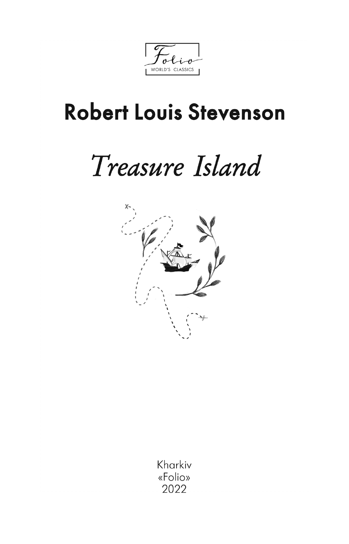WORLD'S CLASSICS

## **Robert Louis Stevenson**

# Treasure Island



Kharkiv «Folio» 2022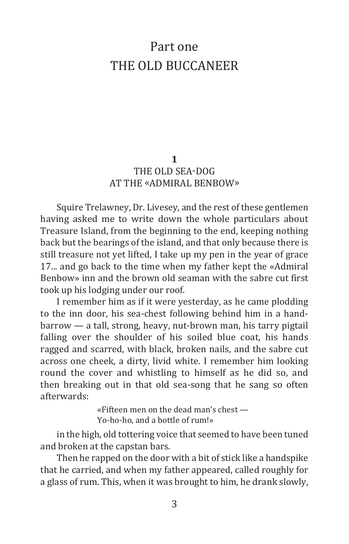## Part one THE OLD BUCCANEER

#### **1** THE OLD SEA-DOG AT THE «ADMIRAL BENBOW»

Squire Trelawney, Dr. Livesey, and the rest of these gentlemen having asked me to write down the whole particulars about Treasure Island, from the beginning to the end, keeping nothing back but the bearings of the island, and that only because there is still treasure not yet lifted, I take up my pen in the year of grace 17... and go back to the time when my father kept the «Admiral Benbow» inn and the brown old seaman with the sabre cut first took up his lodging under our roof.

I remember him as if it were yesterday, as he came plodding to the inn door, his sea-chest following behind him in a handbarrow — a tall, strong, heavy, nut-brown man, his tarry pigtail falling over the shoulder of his soiled blue coat, his hands ragged and scarred, with black, broken nails, and the sabre cut across one cheek, a dirty, livid white. I remember him looking round the cover and whistling to himself as he did so, and then breaking out in that old sea-song that he sang so often afterwards:

> «Fifteen men on the dead man's chest — Yo-ho-ho, and a bottle of rum!»

in the high, old tottering voice that seemed to have been tuned and broken at the capstan bars.

Then he rapped on the door with a bit of stick like a handspike that he carried, and when my father appeared, called roughly for a glass of rum. This, when it was brought to him, he drank slowly,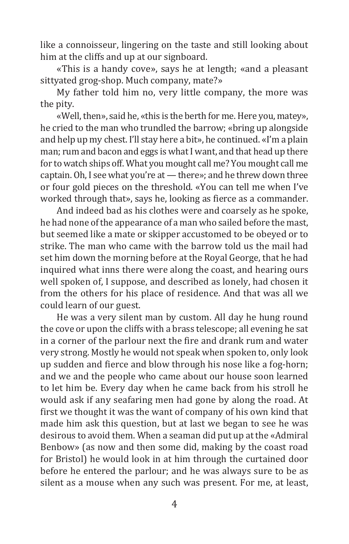like a connoisseur, lingering on the taste and still looking about him at the cliffs and up at our signboard.

«This is a handy cove», says he at length; «and a pleasant sittyated grog-shop. Much company, mate?»

My father told him no, very little company, the more was the pity.

«Well, then», said he, «this is the berth for me. Here you, matey», he cried to the man who trundled the barrow; «bring up alongside and help up my chest. I'll stay here a bit», he continued. «I'm a plain man; rum and bacon and eggs is what I want, and that head up there for to watch ships off. What you mought call me? You mought call me captain. Oh, I see what you're at — there»; and he threw down three or four gold pieces on the threshold. «You can tell me when I've worked through that», says he, looking as fierce as a commander.

And indeed bad as his clothes were and coarsely as he spoke, he had none of the appearance of a man who sailed before the mast, but seemed like a mate or skipper accustomed to be obeyed or to strike. The man who came with the barrow told us the mail had set him down the morning before at the Royal George, that he had inquired what inns there were along the coast, and hearing ours well spoken of, I suppose, and described as lonely, had chosen it from the others for his place of residence. And that was all we could learn of our guest.

He was a very silent man by custom. All day he hung round the cove or upon the cliffs with a brass telescope; all evening he sat in a corner of the parlour next the fire and drank rum and water very strong. Mostly he would not speak when spoken to, only look up sudden and fierce and blow through his nose like a fog-horn; and we and the people who came about our house soon learned to let him be. Every day when he came back from his stroll he would ask if any seafaring men had gone by along the road. At first we thought it was the want of company of his own kind that made him ask this question, but at last we began to see he was desirous to avoid them. When a seaman did put up at the «Admiral Benbow» (as now and then some did, making by the coast road for Bristol) he would look in at him through the curtained door before he entered the parlour; and he was always sure to be as silent as a mouse when any such was present. For me, at least,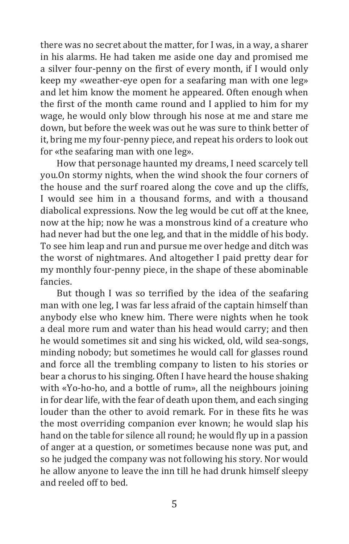there was no secret about the matter, for I was, in a way, a sharer in his alarms. He had taken me aside one day and promised me a silver four-penny on the first of every month, if I would only keep my «weather-eye open for a seafaring man with one leg» and let him know the moment he appeared. Often enough when the first of the month came round and I applied to him for my wage, he would only blow through his nose at me and stare me down, but before the week was out he was sure to think better of it, bring me my four-penny piece, and repeat his orders to look out for «the seafaring man with one leg».

How that personage haunted my dreams, I need scarcely tell you.On stormy nights, when the wind shook the four corners of the house and the surf roared along the cove and up the cliffs, I would see him in a thousand forms, and with a thousand diabolical expressions. Now the leg would be cut off at the knee, now at the hip; now he was a monstrous kind of a creature who had never had but the one leg, and that in the middle of his body. To see him leap and run and pursue me over hedge and ditch was the worst of nightmares. And altogether I paid pretty dear for my monthly four-penny piece, in the shape of these abominable fancies.

But though I was so terrified by the idea of the seafaring man with one leg, I was far less afraid of the captain himself than anybody else who knew him. There were nights when he took a deal more rum and water than his head would carry; and then he would sometimes sit and sing his wicked, old, wild sea-songs, minding nobody; but sometimes he would call for glasses round and force all the trembling company to listen to his stories or bear a chorus to his singing. Often I have heard the house shaking with «Yo-ho-ho, and a bottle of rum», all the neighbours joining in for dear life, with the fear of death upon them, and each singing louder than the other to avoid remark. For in these fits he was the most overriding companion ever known; he would slap his hand on the table for silence all round; he would fly up in a passion of anger at a question, or sometimes because none was put, and so he judged the company was not following his story. Nor would he allow anyone to leave the inn till he had drunk himself sleepy and reeled off to bed.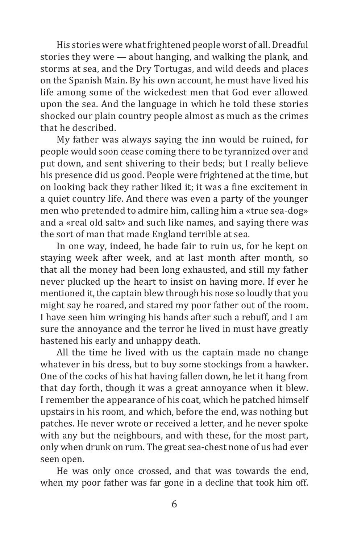His stories were what frightened people worst of all. Dreadful stories they were — about hanging, and walking the plank, and storms at sea, and the Dry Tortugas, and wild deeds and places on the Spanish Main. By his own account, he must have lived his life among some of the wickedest men that God ever allowed upon the sea. Аnd the language in which he told these stories shocked our plain country people almost as much as the crimes that he described.

My father was always saying the inn would be ruined, for people would soon cease coming there to be tyrannized over and put down, and sent shivering to their beds; but I really believe his presence did us good. People were frightened at the time, but on looking back they rather liked it; it was a fine excitement in a quiet country life. Аnd there was even a party of the younger men who pretended to admire him, calling him a «true sea-dog» and a «real old salt» and such like names, and saying there was the sort of man that made England terrible at sea.

In one way, indeed, he bade fair to ruin us, for he kept on staying week after week, and at last month after month, so that all the money had been long exhausted, and still my father never plucked up the heart to insist on having more. If ever he mentioned it, the captain blew through his nose so loudly that you might say he roared, and stared my poor father out of the room. I have seen him wringing his hands after such a rebuff, and I am sure the annoyance and the terror he lived in must have greatly hastened his early and unhappy death.

All the time he lived with us the captain made no change whatever in his dress, but to buy some stockings from a hawker. One of the cocks of his hat having fallen down, he let it hang from that day forth, though it was a great annoyance when it blew. I remember the appearance of his coat, which he patched himself upstairs in his room, and which, before the end, was nothing but patches. He never wrote or received a letter, and he never spoke with any but the neighbours, and with these, for the most part, only when drunk on rum. The great sea-chest none of us had ever seen open.

He was only once crossed, and that was towards the end, when my poor father was far gone in a decline that took him off.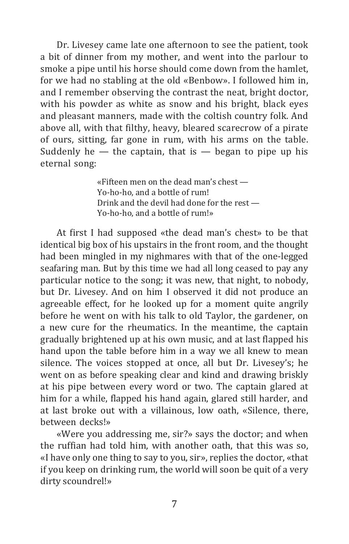Dr. Livesey came late one afternoon to see the patient, took a bit of dinner from my mother, and went into the parlour to smoke a pipe until his horse should come down from the hamlet, for we had no stabling at the old «Benbow». I followed him in, and I remember observing the contrast the neat, bright doctor, with his powder as white as snow and his bright, black eyes and pleasant manners, made with the coltish country folk. Аnd above all, with that filthy, heavy, bleared scarecrow of a pirate of ours, sitting, far gone in rum, with his arms on the table. Suddenly he  $-$  the captain, that is  $-$  began to pipe up his eternal song:

> «Fifteen men on the dead man's chest — Yo-ho-ho, and a bottle of rum! Drink and the devil had done for the rest — Yo-ho-ho, and a bottle of rum!»

At first I had supposed «the dead man's chest» to be that identical big box of his upstairs in the front room, and the thought had been mingled in my nighmares with that of the one-legged seafaring man. But by this time we had all long ceased to pay any particular notice to the song; it was new, that night, to nobody, but Dr. Livesey. Аnd on him I observed it did not produce an agreeable effect, for he looked up for a moment quite angrily before he went on with his talk to old Taylor, the gardener, on a new cure for the rheumatics. In the meantime, the captain gradually brightened up at his own music, and at last flapped his hand upon the table before him in a way we all knew to mean silence. The voices stopped at once, all but Dr. Livesey's; he went on as before speaking clear and kind and drawing briskly at his pipe between every word or two. The captain glared at him for a while, flapped his hand again, glared still harder, and at last broke out with a villainous, low oath, «Silence, there, between decks!»

«Were you addressing me, sir?» says the doctor; and when the ruffian had told him, with another oath, that this was so, «I have only one thing to say to you, sir», replies the doctor, «that if you keep on drinking rum, the world will soon be quit of a very dirty scoundrel!»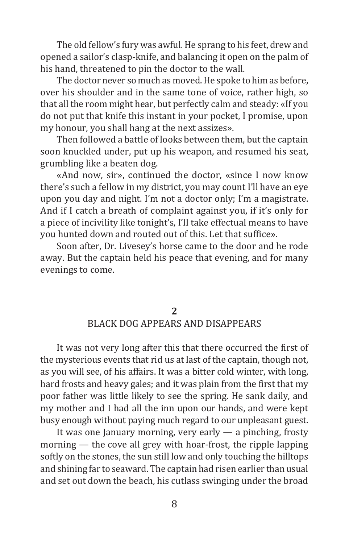The old fellow's fury was awful. He sprang to his feet, drew and opened a sailor's clasp-knife, and balancing it open on the palm of his hand, threatened to pin the doctor to the wall.

The doctor never so much as moved. He spoke to him as before, over his shoulder and in the same tone of voice, rather high, so that all the room might hear, but perfectly calm and steady: «If you do not put that knife this instant in your pocket, I promise, upon my honour, you shall hang at the next assizes».

Then followed a battle of looks between them, but the captain soon knuckled under, put up his weapon, and resumed his seat, grumbling like a beaten dog.

«And now, sir», continued the doctor, «since I now know there's such a fellow in my district, you may count I'll have an eye upon you day and night. I'm not a doctor only; I'm a magistrate. Аnd if I catch a breath of complaint against you, if it's only for a piece of incivility like tonight's, I'll take effectual means to have you hunted down and routed out of this. Let that suffice».

Soon after, Dr. Livesey's horse came to the door and he rode away. But the captain held his peace that evening, and for many evenings to come.

#### **2** BLACK DOG APPEARS AND DISAPPEARS

It was not very long after this that there occurred the first of the mysterious events that rid us at last of the captain, though not, as you will see, of his affairs. It was a bitter cold winter, with long, hard frosts and heavy gales; and it was plain from the first that my poor father was little likely to see the spring. He sank daily, and my mother and I had all the inn upon our hands, and were kept busy enough without paying much regard to our unpleasant guest.

It was one January morning, very early — a pinching, frosty morning — the cove all grey with hoar-frost, the ripple lapping softly on the stones, the sun still low and only touching the hilltops and shining far to seaward. The captain had risen earlier than usual and set out down the beach, his cutlass swinging under the broad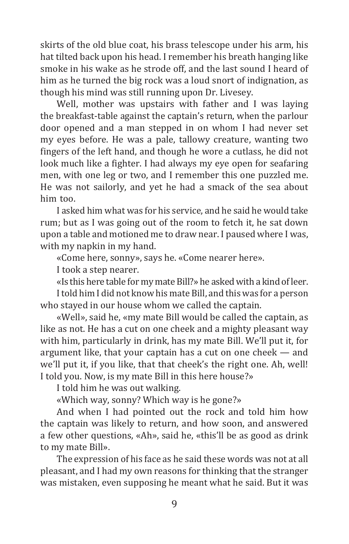skirts of the old blue coat, his brass telescope under his arm, his hat tilted back upon his head. I remember his breath hanging like smoke in his wake as he strode off, and the last sound I heard of him as he turned the big rock was a loud snort of indignation, as though his mind was still running upon Dr. Livesey.

Well, mother was upstairs with father and I was laying the breakfast-table against the captain's return, when the parlour door opened and a man stepped in on whom I had never set my eyes before. He was a pale, tallowy creature, wanting two fingers of the left hand, and though he wore a cutlass, he did not look much like a fighter. I had always my eye open for seafaring men, with one leg or two, and I remember this one puzzled me. He was not sailorly, and yet he had a smack of the sea about him too.

I asked him what was for his service, and he said he would take rum; but as I was going out of the room to fetch it, he sat down upon a table and motioned me to draw near. I paused where I was, with my napkin in my hand.

«Come here, sonny», says he. «Come nearer here».

I took a step nearer.

«Is this here table for my mate Bill?» he asked with a kind of leer. I told him I did not know his mate Bill, and this was for a person who stayed in our house whom we called the captain.

«Well», said he, «my mate Bill would be called the captain, as like as not. He has a cut on one cheek and a mighty pleasant way with him, particularly in drink, has my mate Bill. We'll put it, for argument like, that your captain has a cut on one cheek — and we'll put it, if you like, that that cheek's the right one. Ah, well! I told you. Now, is my mate Bill in this here house?»

I told him he was out walking.

«Which way, sonny? Which way is he gone?»

And when I had pointed out the rock and told him how the captain was likely to return, and how soon, and answered a few other questions, «Ah», said he, «this'll be as good as drink to my mate Bill».

The expression of his face as he said these words was not at all pleasant, and I had my own reasons for thinking that the stranger was mistaken, even supposing he meant what he said. But it was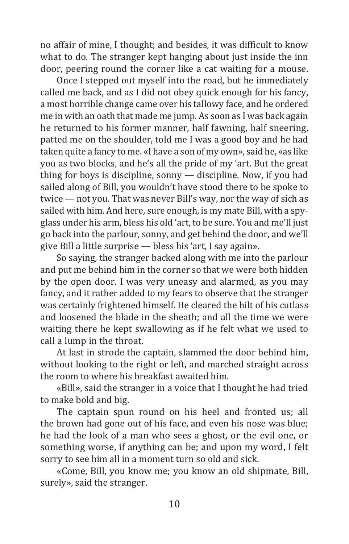no affair of mine, I thought; and besides, it was difficult to know what to do. The stranger kept hanging about just inside the inn door, peering round the corner like a cat waiting for a mouse.

Once I stepped out myself into the road, but he immediately called me back, and as I did not obey quick enough for his fancy, a most horrible change came over his tallowy face, and he ordered me in with an oath that made me jump. As soon as I was back again he returned to his former manner, half fawning, half sneering, patted me on the shoulder, told me I was a good boy and he had taken quite a fancy to me. «I have a son of my own», said he, «as like you as two blocks, and he's all the pride of my 'art. But the great thing for boys is discipline, sonny — discipline. Now, if you had sailed along of Bill, you wouldn't have stood there to be spoke to twice — not you. That was never Bill's way, nor the way of sich as sailed with him. And here, sure enough, is my mate Bill, with a spyglass under his arm, bless his old 'art, to be sure. You and me'll just go back into the parlour, sonny, and get behind the door, and we'll give Bill a little surprise — bless his 'art, I say again».

So saying, the stranger backed along with me into the parlour and put me behind him in the corner so that we were both hidden by the open door. I was very uneasy and alarmed, as you may fancy, and it rather added to my fears to observe that the stranger was certainly frightened himself. He cleared the hilt of his cutlass and loosened the blade in the sheath; and all the time we were waiting there he kept swallowing as if he felt what we used to call a lump in the throat.

At last in strode the captain, slammed the door behind him, without looking to the right or left, and marched straight across the room to where his breakfast awaited him.

«Bill», said the stranger in a voice that I thought he had tried to make bold and big.

The captain spun round on his heel and fronted us; all the brown had gone out of his face, and even his nose was blue; he had the look of a man who sees a ghost, or the evil one, or something worse, if anything can be; and upon my word, I felt sorry to see him all in a moment turn so old and sick.

«Come, Bill, you know me; you know an old shipmate, Bill, surely», said the stranger.